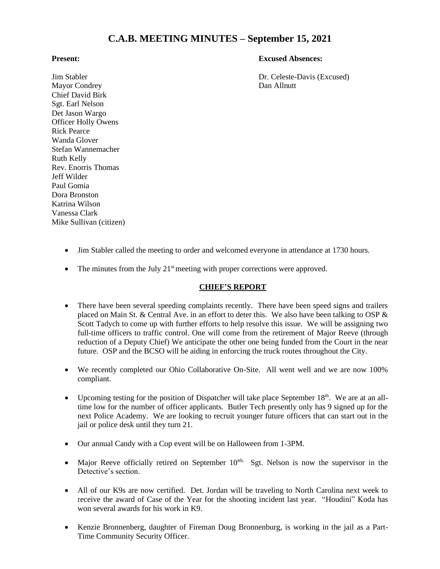# **C.A.B. MEETING MINUTES – September 15, 2021**

#### **Present: Excused Absences:**

Jim Stabler **Dr. Celeste-Davis (Excused)** Dr. Celeste-Davis (Excused)

Mayor Condrey Dan Allnutt Chief David Birk Sgt. Earl Nelson Det Jason Wargo Officer Holly Owens Rick Pearce Wanda Glover Stefan Wannemacher Ruth Kelly Rev. Enorris Thomas Jeff Wilder Paul Gomia Dora Bronston Katrina Wilson Vanessa Clark Mike Sullivan (citizen)

- Jim Stabler called the meeting to order and welcomed everyone in attendance at 1730 hours.
- The minutes from the July  $21<sup>st</sup>$  meeting with proper corrections were approved.

### **CHIEF'S REPORT**

- There have been several speeding complaints recently. There have been speed signs and trailers placed on Main St. & Central Ave. in an effort to deter this. We also have been talking to OSP & Scott Tadych to come up with further efforts to help resolve this issue. We will be assigning two full-time officers to traffic control. One will come from the retirement of Major Reeve (through reduction of a Deputy Chief) We anticipate the other one being funded from the Court in the near future. OSP and the BCSO will be aiding in enforcing the truck routes throughout the City.
- We recently completed our Ohio Collaborative On-Site. All went well and we are now 100% compliant.
- Upcoming testing for the position of Dispatcher will take place September  $18<sup>th</sup>$ . We are at an alltime low for the number of officer applicants. Butler Tech presently only has 9 signed up for the next Police Academy. We are looking to recruit younger future officers that can start out in the jail or police desk until they turn 21.
- Our annual Candy with a Cop event will be on Halloween from 1-3PM.
- Major Reeve officially retired on September  $10<sup>th</sup>$ . Sgt. Nelson is now the supervisor in the Detective's section.
- All of our K9s are now certified. Det. Jordan will be traveling to North Carolina next week to receive the award of Case of the Year for the shooting incident last year. "Houdini" Koda has won several awards for his work in K9.
- Kenzie Bronnenberg, daughter of Fireman Doug Bronnenburg, is working in the jail as a Part-Time Community Security Officer.